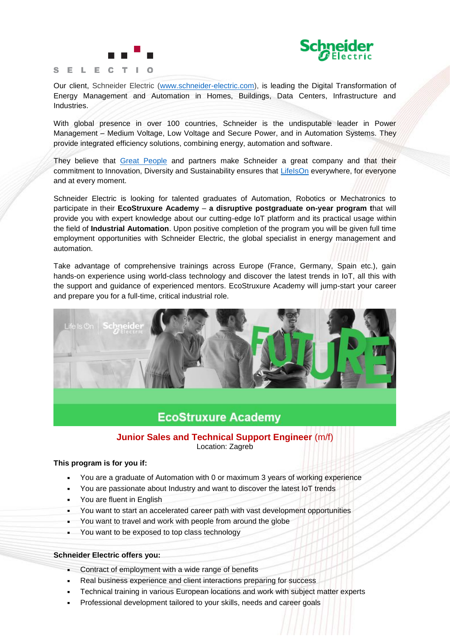



Our client, Schneider Electric [\(www.schneider-electric.com\)](http://www.schneider-electric.com/), is leading the Digital Transformation of Energy Management and Automation in Homes, Buildings, Data Centers, Infrastructure and Industries.

With global presence in over 100 countries, Schneider is the undisputable leader in Power Management – Medium Voltage, Low Voltage and Secure Power, and in Automation Systems. They provide integrated efficiency solutions, combining energy, automation and software.

They believe that [Great People](https://www.youtube.com/watch?v=6D2Av1uUrzY&list=PLDA51632DF344674D&index=2) and partners make Schneider a great company and that their commitment to Innovation, Diversity and Sustainability ensures that [LifeIsOn](https://youtu.be/NlLJMv1Y7Hk) everywhere, for everyone and at every moment.

Schneider Electric is looking for talented graduates of Automation, Robotics or Mechatronics to participate in their **EcoStruxure Academy** – **a disruptive postgraduate on-year program t**hat will provide you with expert knowledge about our cutting-edge IoT platform and its practical usage within the field of **Industrial Automation**. Upon positive completion of the program you will be given full time employment opportunities with Schneider Electric, the global specialist in energy management and automation.

Take advantage of comprehensive trainings across Europe (France, Germany, Spain etc.), gain hands-on experience using world-class technology and discover the latest trends in IoT, all this with the support and guidance of experienced mentors. EcoStruxure Academy will jump-start your career and prepare you for a full-time, critical industrial role.



# **EcoStruxure Academy**

# **Junior Sales and Technical Support Engineer** (m/f) Location: Zagreb

#### **This program is for you if:**

- You are a graduate of Automation with 0 or maximum 3 years of working experience
- You are passionate about Industry and want to discover the latest IoT trends
- You are fluent in English
- You want to start an accelerated career path with vast development opportunities
- You want to travel and work with people from around the globe
- You want to be exposed to top class technology

## **Schneider Electric offers you:**

- **Contract of employment with a wide range of benefits**
- Real business experience and client interactions preparing for success
- **•** Technical training in various European locations and work with subject matter experts
- Professional development tailored to your skills, needs and career goals